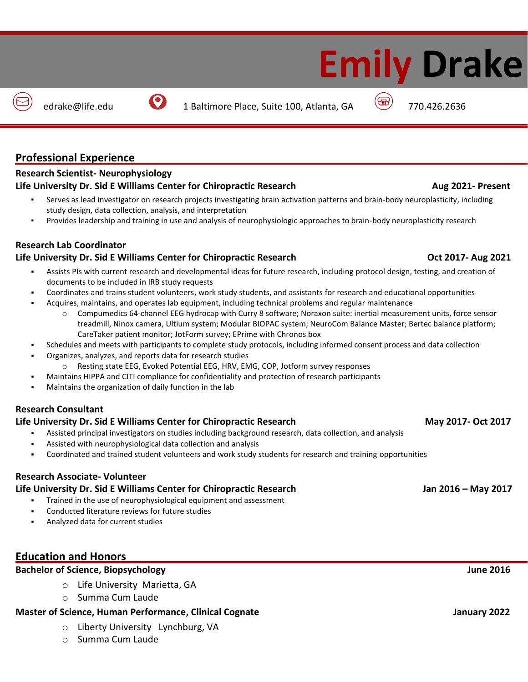# **Professional Experience**

# **Research Scientist- Neurophysiology**

## **Life University Dr. Sid E Williams Center for Chiropractic Research Aug 2021- Present**

- Serves as lead investigator on research projects investigating brain activation patterns and brain-body neuroplasticity, including study design, data collection, analysis, and interpretation
- Provides leadership and training in use and analysis of neurophysiologic approaches to brain-body neuroplasticity research

# **Research Lab Coordinator**

# **Life University Dr. Sid E Williams Center for Chiropractic Research Oct 2017- Aug 2021**

- Assists PIs with current research and developmental ideas for future research, including protocol design, testing, and creation of documents to be included in IRB study requests
- Coordinates and trains student volunteers, work study students, and assistants for research and educational opportunities
- Acquires, maintains, and operates lab equipment, including technical problems and regular maintenance
	- Compumedics 64-channel EEG hydrocap with Curry 8 software; Noraxon suite: inertial measurement units, force sensor treadmill, Ninox camera, Ultium system; Modular BIOPAC system; NeuroCom Balance Master; Bertec balance platform; CareTaker patient monitor; JotForm survey; EPrime with Chronos box
- Schedules and meets with participants to complete study protocols, including informed consent process and data collection
- Organizes, analyzes, and reports data for research studies
	- o Resting state EEG, Evoked Potential EEG, HRV, EMG, COP, Jotform survey responses
	- Maintains HIPPA and CITI compliance for confidentiality and protection of research participants
- Maintains the organization of daily function in the lab

## **Research Consultant**

## **Life University Dr. Sid E Williams Center for Chiropractic Research May 2017- Oct 2017**

- Assisted principal investigators on studies including background research, data collection, and analysis
- Assisted with neurophysiological data collection and analysis
- Coordinated and trained student volunteers and work study students for research and training opportunities

## **Research Associate- Volunteer**

## **Life University Dr. Sid E Williams Center for Chiropractic Research Jan 2016 – May 2017**

- Trained in the use of neurophysiological equipment and assessment
- Conducted literature reviews for future studies
- Analyzed data for current studies

# **Education and Honors**

# **Bachelor of Science, Biopsychology June 2016**

- o Life University Marietta, GA
- o Summa Cum Laude

## **Master of Science, Human Performance, Clinical Cognate Science Access 2022** January 2022

- o Liberty University Lynchburg, VA
- o Summa Cum Laude

# **Emily Drake**

edrake@life.edu 1 Baltimore Place, Suite 100, Atlanta, GA (a) 770.426.2636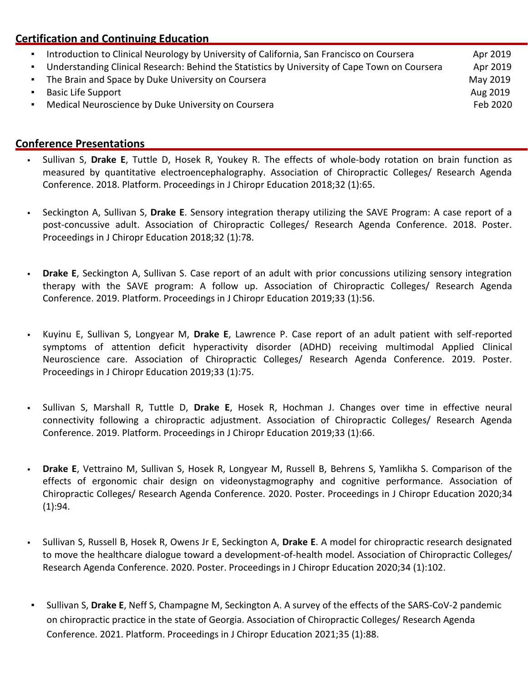# **Certification and Continuing Education**

Introduction to Clinical Neurology by University of California, San Francisco on Coursera Apr 2019 ▪ Understanding Clinical Research: Behind the Statistics by University of Cape Town on Coursera Apr 2019 The Brain and Space by Duke University on Coursera May 2019 May 2019 **Example 3** and the Support Aug 2019 **Aug 2019 Aug 2019 •** Medical Neuroscience by Duke University on Coursera Feb 2020 **Feb 2020** 

# **Conference Presentations**

- Sullivan S, Drake E, Tuttle D, Hosek R, Youkey R. The effects of whole-body rotation on brain function as measured by quantitative electroencephalography. Association of Chiropractic Colleges/ Research Agenda Conference. 2018. Platform. Proceedings in J Chiropr Education 2018;32 (1):65.
- Seckington A, Sullivan S, Drake E. Sensory integration therapy utilizing the SAVE Program: A case report of a post-concussive adult. Association of Chiropractic Colleges/ Research Agenda Conference. 2018. Poster. Proceedings in J Chiropr Education 2018;32 (1):78.
- **Drake E**, Seckington A, Sullivan S. Case report of an adult with prior concussions utilizing sensory integration therapy with the SAVE program: A follow up. Association of Chiropractic Colleges/ Research Agenda Conference. 2019. Platform. Proceedings in J Chiropr Education 2019;33 (1):56.
- Kuyinu E, Sullivan S, Longyear M, **Drake E**, Lawrence P. Case report of an adult patient with self-reported symptoms of attention deficit hyperactivity disorder (ADHD) receiving multimodal Applied Clinical Neuroscience care. Association of Chiropractic Colleges/ Research Agenda Conference. 2019. Poster. Proceedings in J Chiropr Education 2019;33 (1):75.
- Sullivan S, Marshall R, Tuttle D, Drake E, Hosek R, Hochman J. Changes over time in effective neural connectivity following a chiropractic adjustment. Association of Chiropractic Colleges/ Research Agenda Conference. 2019. Platform. Proceedings in J Chiropr Education 2019;33 (1):66.
- **Drake E**, Vettraino M, Sullivan S, Hosek R, Longyear M, Russell B, Behrens S, Yamlikha S. Comparison of the effects of ergonomic chair design on videonystagmography and cognitive performance. Association of Chiropractic Colleges/ Research Agenda Conference. 2020. Poster. Proceedings in J Chiropr Education 2020;34 (1):94.
- Sullivan S, Russell B, Hosek R, Owens Jr E, Seckington A, Drake E. A model for chiropractic research designated to move the healthcare dialogue toward a development-of-health model. Association of Chiropractic Colleges/ Research Agenda Conference. 2020. Poster. Proceedings in J Chiropr Education 2020;34 (1):102.
- Sullivan S, **Drake E**, Neff S, Champagne M, Seckington A. A survey of the effects of the SARS-CoV-2 pandemic on chiropractic practice in the state of Georgia. Association of Chiropractic Colleges/ Research Agenda Conference. 2021. Platform. Proceedings in J Chiropr Education 2021;35 (1):88.